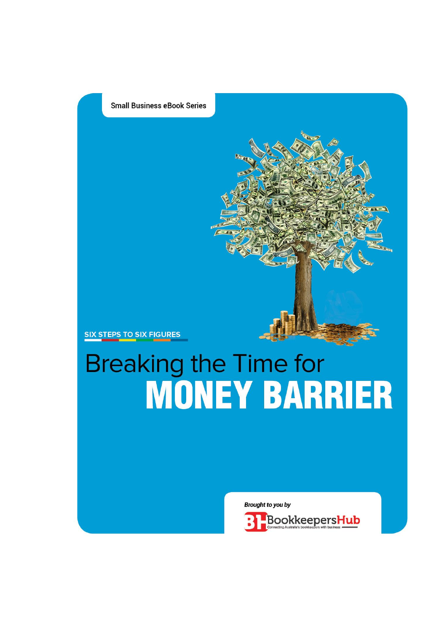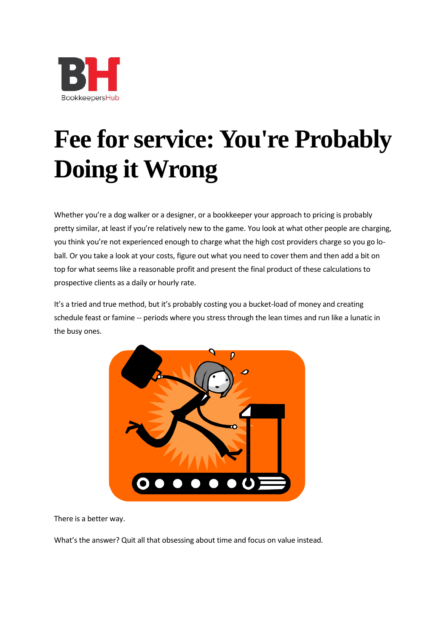

# **Fee for service: You're Probably Doing it Wrong**

Whether you're a dog walker or a designer, or a bookkeeper your approach to pricing is probably pretty similar, at least if you're relatively new to the game. You look at what other people are charging, you think you're not experienced enough to charge what the high cost providers charge so you go loball. Or you take a look at your costs, figure out what you need to cover them and then add a bit on top for what seems like a reasonable profit and present the final product of these calculations to prospective clients as a daily or hourly rate.

It's a tried and true method, but it's probably costing you a bucket-load of money and creating schedule feast or famine -- periods where you stress through the lean times and run like a lunatic in the busy ones.



There is a better way.

What's the answer? Quit all that obsessing about time and focus on value instead.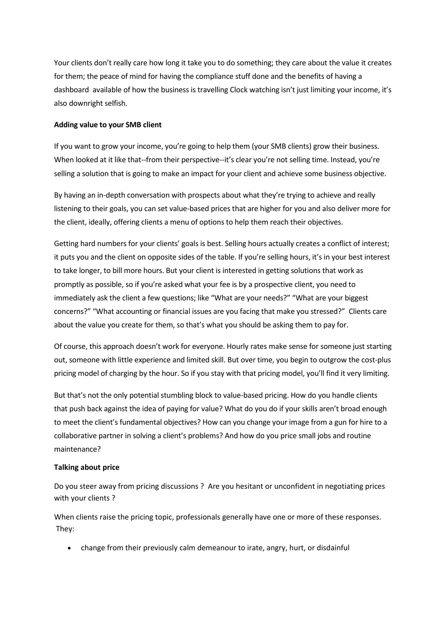Your clients don't really care how long it take you to do something; they care about the value it creates for them; the peace of mind for having the compliance stuff done and the benefits of having a dashboard available of how the business is travelling Clock watching isn't just limiting your income, it's also downright selfish.

### **Adding value to your SMB client**

If you want to grow your income, you're going to help them (your SMB clients) grow their business. When looked at it like that--from their perspective--it's clear you're not selling time. Instead, you're selling a solution that is going to make an impact for your client and achieve some business objective.

By having an in-depth conversation with prospects about what they're trying to achieve and really listening to their goals, you can set value-based prices that are higher for you and also deliver more for the client, ideally, offering clients a menu of options to help them reach their objectives.

Getting hard numbers for your clients' goals is best. Selling hours actually creates a conflict of interest; it puts you and the client on opposite sides of the table. If you're selling hours, it's in your best interest to take longer, to bill more hours. But your client is interested in getting solutions that work as promptly as possible, so if you're asked what your fee is by a prospective client, you need to immediately ask the client a few questions; like "What are your needs?" "What are your biggest concerns?" "What accounting or financial issues are you facing that make you stressed?" Clients care about the value you create for them, so that's what you should be asking them to pay for.

Of course, this approach doesn't work for everyone. Hourly rates make sense for someone just starting out, someone with little experience and limited skill. But over time, you begin to outgrow the cost-plus pricing model of charging by the hour. So if you stay with that pricing model, you'll find it very limiting.

But that's not the only potential stumbling block to value-based pricing. How do you handle clients that push back against the idea of paying for value? What do you do if your skills aren't broad enough to meet the client's fundamental objectives? How can you change your image from a gun for hire to a collaborative partner in solving a client's problems? And how do you price small jobs and routine maintenance?

## **Talking about price**

Do you steer away from pricing discussions ? Are you hesitant or unconfident in negotiating prices with your clients ?

When clients raise the pricing topic, professionals generally have one or more of these responses. They:

change from their previously calm demeanour to irate, angry, hurt, or disdainful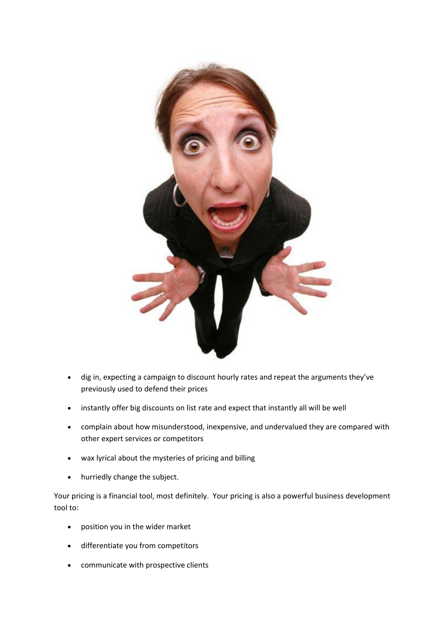

- dig in, expecting a campaign to discount hourly rates and repeat the arguments they've previously used to defend their prices
- instantly offer big discounts on list rate and expect that instantly all will be well
- complain about how misunderstood, inexpensive, and undervalued they are compared with other expert services or competitors
- wax lyrical about the mysteries of pricing and billing
- hurriedly change the subject.

Your pricing is a financial tool, most definitely. Your pricing is also a powerful business development tool to:

- position you in the wider market
- differentiate you from competitors
- communicate with prospective clients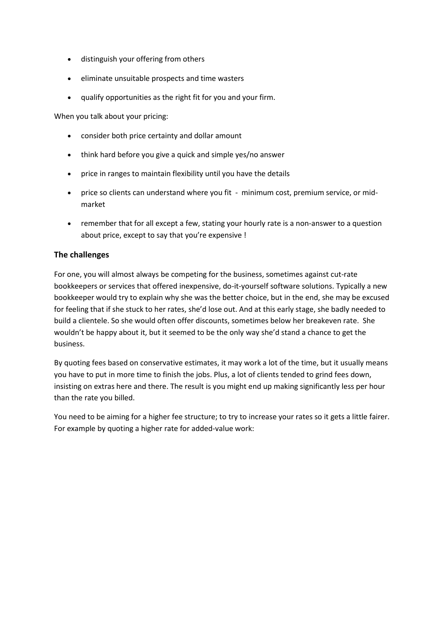- distinguish your offering from others
- eliminate unsuitable prospects and time wasters
- qualify opportunities as the right fit for you and your firm.

When you talk about your pricing:

- consider both price certainty and dollar amount
- think hard before you give a quick and simple yes/no answer
- price in ranges to maintain flexibility until you have the details
- price so clients can understand where you fit minimum cost, premium service, or midmarket
- remember that for all except a few, stating your hourly rate is a non-answer to a question about price, except to say that you're expensive !

#### **The challenges**

For one, you will almost always be competing for the business, sometimes against cut-rate bookkeepers or services that offered inexpensive, do-it-yourself software solutions. Typically a new bookkeeper would try to explain why she was the better choice, but in the end, she may be excused for feeling that if she stuck to her rates, she'd lose out. And at this early stage, she badly needed to build a clientele. So she would often offer discounts, sometimes below her breakeven rate. She wouldn't be happy about it, but it seemed to be the only way she'd stand a chance to get the business.

By quoting fees based on conservative estimates, it may work a lot of the time, but it usually means you have to put in more time to finish the jobs. Plus, a lot of clients tended to grind fees down, insisting on extras here and there. The result is you might end up making significantly less per hour than the rate you billed.

You need to be aiming for a higher fee structure; to try to increase your rates so it gets a little fairer. For example by quoting a higher rate for added-value work: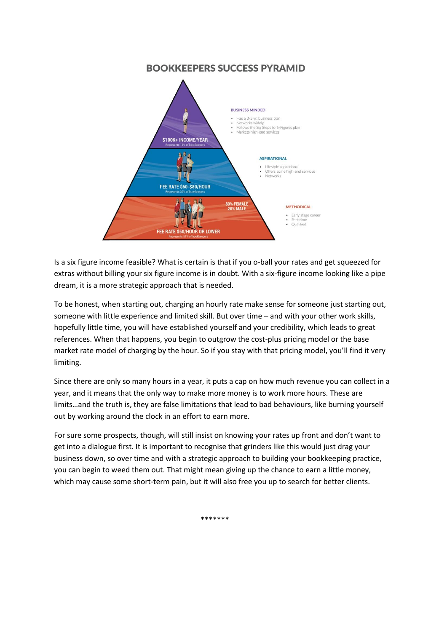# **BOOKKEEPERS SUCCESS PYRAMID**



Is a six figure income feasible? What is certain is that if you o-ball your rates and get squeezed for extras without billing your six figure income is in doubt. With a six-figure income looking like a pipe dream, it is a more strategic approach that is needed.

To be honest, when starting out, charging an hourly rate make sense for someone just starting out, someone with little experience and limited skill. But over time – and with your other work skills, hopefully little time, you will have established yourself and your credibility, which leads to great references. When that happens, you begin to outgrow the cost-plus pricing model or the base market rate model of charging by the hour. So if you stay with that pricing model, you'll find it very limiting.

Since there are only so many hours in a year, it puts a cap on how much revenue you can collect in a year, and it means that the only way to make more money is to work more hours. These are limits…and the truth is, they are false limitations that lead to bad behaviours, like burning yourself out by working around the clock in an effort to earn more.

For sure some prospects, though, will still insist on knowing your rates up front and don't want to get into a dialogue first. It is important to recognise that grinders like this would just drag your business down, so over time and with a strategic approach to building your bookkeeping practice, you can begin to weed them out. That might mean giving up the chance to earn a little money, which may cause some short-term pain, but it will also free you up to search for better clients.

\*\*\*\*\*\*\*